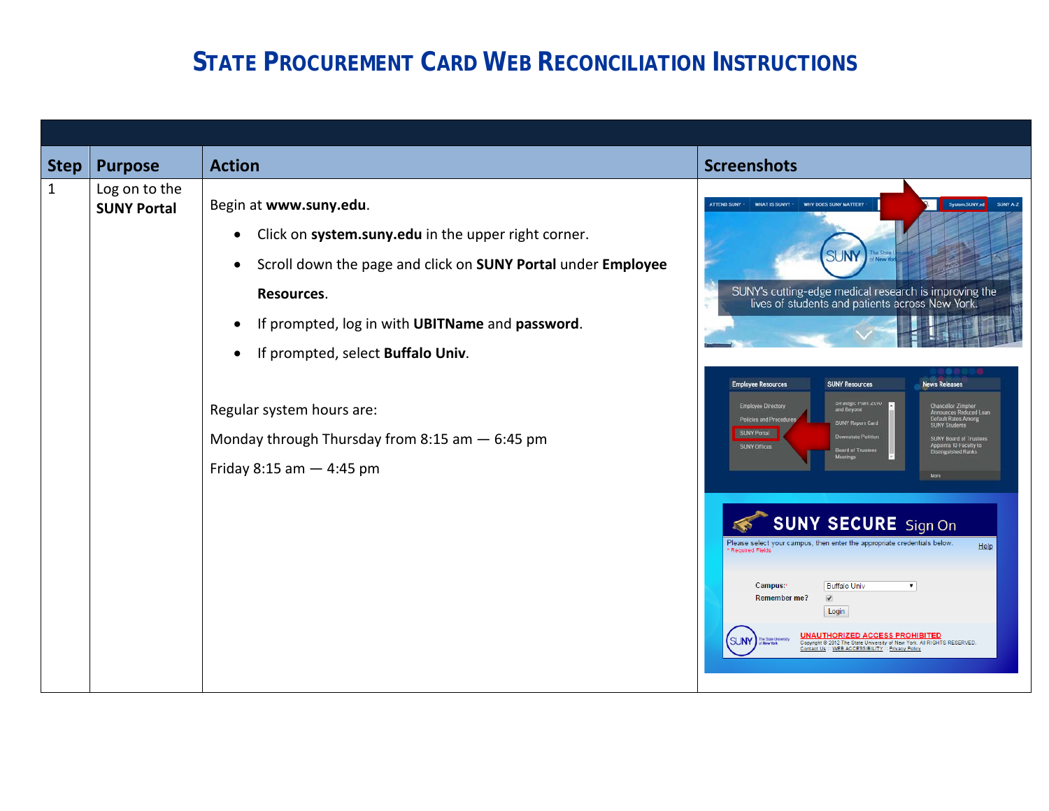## **STATE PROCUREMENT CARD WEB RECONCILIATION INSTRUCTIONS**

| <b>Step</b> | <b>Purpose</b>                      | <b>Action</b>                                                                                                                                                                                                                                                                                                                                                                                             | <b>Screenshots</b>                                                                                                                                                                                                                                                                                                                                                                                                                                                                                                                                                                                                                                                                                                                   |
|-------------|-------------------------------------|-----------------------------------------------------------------------------------------------------------------------------------------------------------------------------------------------------------------------------------------------------------------------------------------------------------------------------------------------------------------------------------------------------------|--------------------------------------------------------------------------------------------------------------------------------------------------------------------------------------------------------------------------------------------------------------------------------------------------------------------------------------------------------------------------------------------------------------------------------------------------------------------------------------------------------------------------------------------------------------------------------------------------------------------------------------------------------------------------------------------------------------------------------------|
| 1           | Log on to the<br><b>SUNY Portal</b> | Begin at www.suny.edu.<br>Click on system.suny.edu in the upper right corner.<br>$\bullet$<br>Scroll down the page and click on SUNY Portal under Employee<br>$\bullet$<br>Resources.<br>If prompted, log in with UBITName and password.<br>If prompted, select Buffalo Univ.<br>$\bullet$<br>Regular system hours are:<br>Monday through Thursday from 8:15 am $-$ 6:45 pm<br>Friday 8:15 am $-$ 4:45 pm | System.SUNY.ed<br>ATTEND SUNY .<br>WHAT IS SUNY?<br>WHY DOES SUNY MATTER?<br>SUNY A-Z<br><b>SUNY</b><br>SUNY's cutting-edge medical research is improving the<br>lives of students and patients across New York.<br><b>News Releases</b><br><b>Employee Resources</b><br><b>SUNY Resources</b><br>ou aregic man: zono<br>and Beyond<br><b>Employee Directory</b><br>Chancellor Zimpher<br>Announces Reduced Loan<br>Default Rates Among<br>Policies and Procedures<br><b>SUNY Report Card</b><br><b>SUNY Students</b><br><b>SUNY Portal</b><br><b>Downstate Petition</b><br>SUNY Board of Trustees<br>Appoints 10 Faculty to<br>Distinguished Ranks<br><b>SUNY Offices</b><br><b>Board of Trustees</b><br><b>SUNY SECURE</b> Sign On |
|             |                                     |                                                                                                                                                                                                                                                                                                                                                                                                           | Please select your campus, then enter the appropriate credentials below.<br>Help<br>* Required Fields<br><b>Buffalo Univ</b><br>Campus:*<br>$\pmb{\mathrm{v}}$<br><b>Remember me?</b><br>$\overline{\mathbf{v}}$<br>Login<br><b>UNAUTHORIZED ACCESS PROHIBITED</b><br><b>SUN</b><br>Copyright @ 2012 The State University of New York. All RIGHTS RESERVED.<br>Contact Us :: WEB ACCESSIBILITY :: Privacy Policy                                                                                                                                                                                                                                                                                                                     |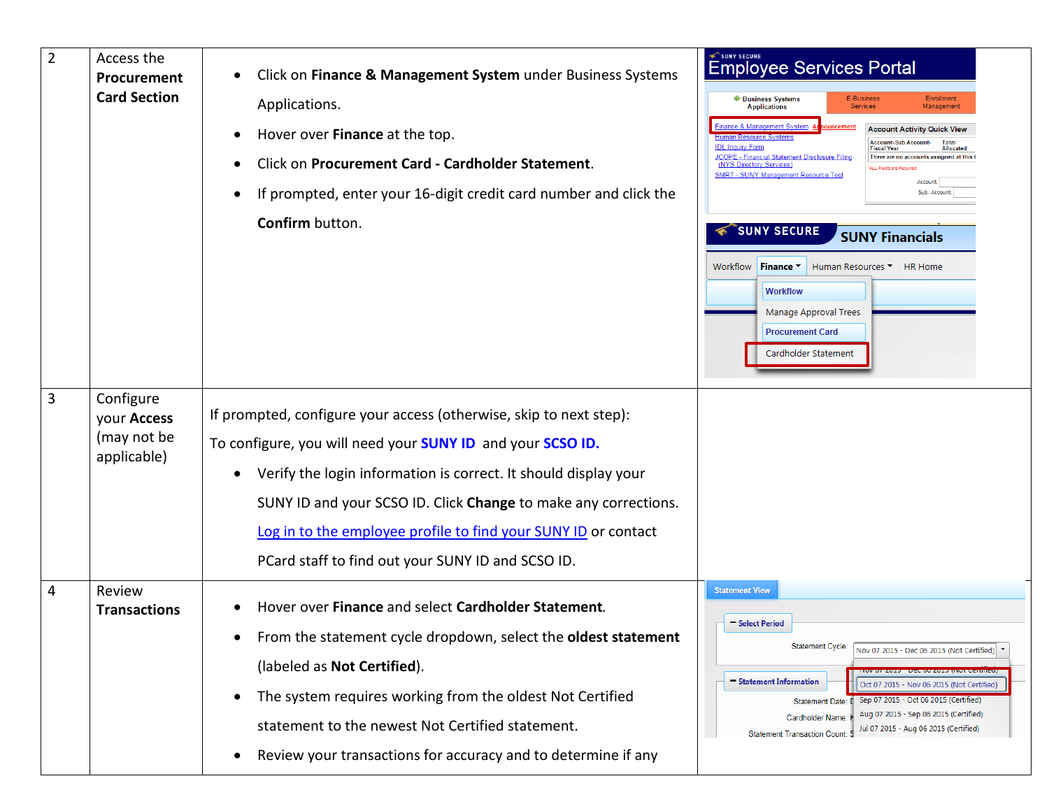| $\overline{2}$ | Access the<br>Procurement<br><b>Card Section</b>       | Click on Finance & Management System under Business Systems<br>Applications.<br>Hover over Finance at the top.<br>Click on Procurement Card - Cardholder Statement.<br>If prompted, enter your 16-digit credit card number and click the<br>Confirm button.                                                                                                                                                 | SUNY SECURE<br><b>Employee Services Portal</b><br><b>E-Business</b><br><b>Enrollment</b><br><b>▶ Business Systems</b><br><b>Applications</b><br><b>Services</b><br>Management<br>inance & Management System<br><b>Account Activity Quick View</b><br>Human Resource System<br><b>Account-Sub Account-</b><br><b>IDL Inquiry Form</b><br><b>Fiscal Year</b><br>Allocater<br><b>JCOPE - Financial Statement Disclosure Filing</b><br>There are no accounts assigned at this t<br>(NYS Directory Services)<br>ALL Fields are Required<br><b>SMRT - SUNY Management Resource Tool</b><br>Account:<br>Sub-Accoun<br><b>SUNY SECURE</b><br><b>SUNY Financials</b><br>Workflow<br>Finance Y<br>Human Resources ▼ HR Home<br><b>Workflow</b><br>Manage Approval Trees<br><b>Procurement Card</b><br>Cardholder Statement |
|----------------|--------------------------------------------------------|-------------------------------------------------------------------------------------------------------------------------------------------------------------------------------------------------------------------------------------------------------------------------------------------------------------------------------------------------------------------------------------------------------------|------------------------------------------------------------------------------------------------------------------------------------------------------------------------------------------------------------------------------------------------------------------------------------------------------------------------------------------------------------------------------------------------------------------------------------------------------------------------------------------------------------------------------------------------------------------------------------------------------------------------------------------------------------------------------------------------------------------------------------------------------------------------------------------------------------------|
| 3              | Configure<br>your Access<br>(may not be<br>applicable) | If prompted, configure your access (otherwise, skip to next step):<br>To configure, you will need your <b>SUNY ID</b> and your <b>SCSO ID.</b><br>Verify the login information is correct. It should display your<br>SUNY ID and your SCSO ID. Click Change to make any corrections.<br>Log in to the employee profile to find your SUNY ID or contact<br>PCard staff to find out your SUNY ID and SCSO ID. |                                                                                                                                                                                                                                                                                                                                                                                                                                                                                                                                                                                                                                                                                                                                                                                                                  |
| 4              | Review<br><b>Transactions</b>                          | Hover over Finance and select Cardholder Statement.<br>From the statement cycle dropdown, select the oldest statement<br>(labeled as Not Certified).<br>The system requires working from the oldest Not Certified<br>statement to the newest Not Certified statement.<br>Review your transactions for accuracy and to determine if any                                                                      | <b>Statement View</b><br>Select Period<br><b>Statement Cycle:</b><br>Nov 07 2015 - Dec 06 2015 (Not Certified) \<br><u> טע עז לעזט - דעכר עט לעזט וואטו ככונוווכטן</u><br>Statement Information<br>Oct 07 2015 - Nov 06 2015 (Not Certified)<br>Sep 07 2015 - Oct 06 2015 (Certified)<br><b>Statement Date:</b><br>Aug 07 2015 - Sep 06 2015 (Certified)<br>Cardholder Name:<br>Jul 07 2015 - Aug 06 2015 (Certified)<br><b>Statement Transaction Count:</b>                                                                                                                                                                                                                                                                                                                                                     |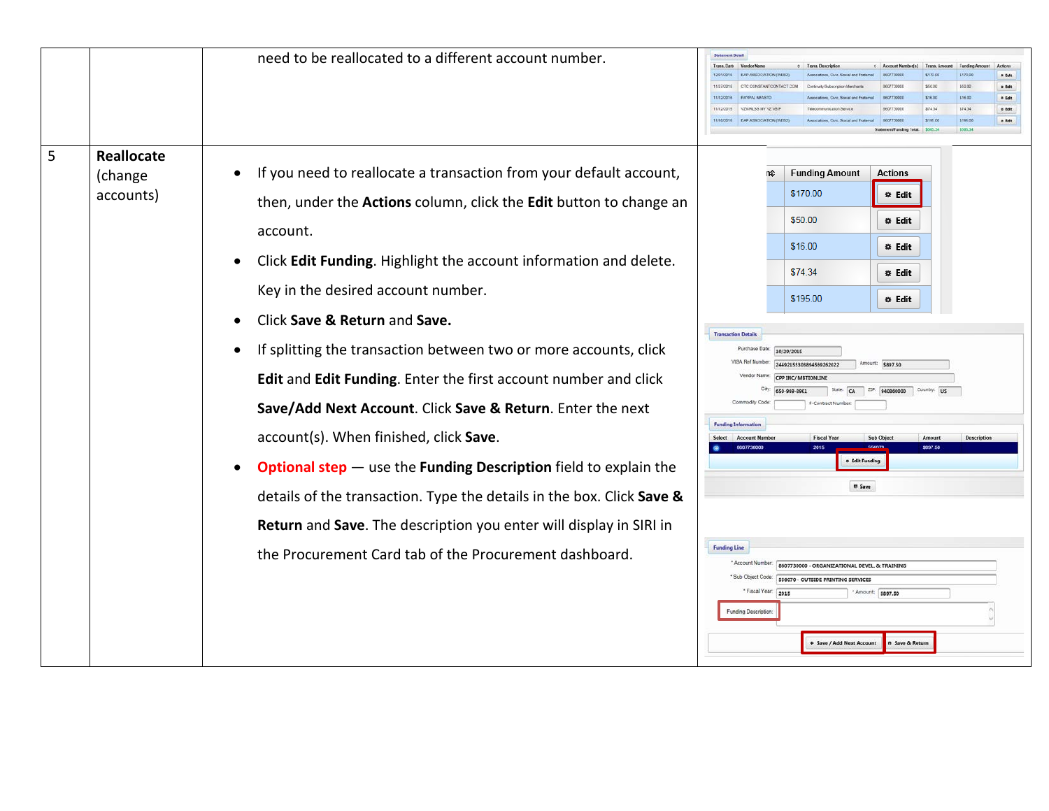|   |                                           | need to be reallocated to a different account number.                                                                                                                                                                                                                                                                                                                                                                                                                                                              | <b>Statement Detail</b><br>Trans, Dato<br>Actions<br><b>Account Number(s)</b><br>FAP ASSOCIATION OVER<br>\$170.00<br>\$170.00<br>a Edit                                                                                                                                                                                                                       |  |  |  |  |
|---|-------------------------------------------|--------------------------------------------------------------------------------------------------------------------------------------------------------------------------------------------------------------------------------------------------------------------------------------------------------------------------------------------------------------------------------------------------------------------------------------------------------------------------------------------------------------------|---------------------------------------------------------------------------------------------------------------------------------------------------------------------------------------------------------------------------------------------------------------------------------------------------------------------------------------------------------------|--|--|--|--|
|   |                                           |                                                                                                                                                                                                                                                                                                                                                                                                                                                                                                                    | \$50.00<br>\$50.00<br>o tdt<br><b>DAVOAL MEASTS</b>                                                                                                                                                                                                                                                                                                           |  |  |  |  |
|   |                                           |                                                                                                                                                                                                                                                                                                                                                                                                                                                                                                                    | \$16.00<br>\$16.00<br>a Ida<br>\$74.34<br>VZWF4 SS MY VZ VR 9<br>\$74.34<br>11/12/2019<br>o Edit<br>907730000                                                                                                                                                                                                                                                 |  |  |  |  |
|   |                                           |                                                                                                                                                                                                                                                                                                                                                                                                                                                                                                                    | EAP ASSOCIATION (WE)<br>\$195.00<br>\$195.00<br>o tdt<br>\$505.34<br>\$505.34                                                                                                                                                                                                                                                                                 |  |  |  |  |
|   |                                           |                                                                                                                                                                                                                                                                                                                                                                                                                                                                                                                    |                                                                                                                                                                                                                                                                                                                                                               |  |  |  |  |
| 5 | <b>Reallocate</b><br>(change<br>accounts) | If you need to reallocate a transaction from your default account,<br>then, under the Actions column, click the Edit button to change an<br>account.<br>Click Edit Funding. Highlight the account information and delete.<br>Key in the desired account number.<br>Click Save & Return and Save.<br>If splitting the transaction between two or more accounts, click<br>$\bullet$<br>Edit and Edit Funding. Enter the first account number and click<br>Save/Add Next Account. Click Save & Return. Enter the next | <b>Funding Amount</b><br><b>Actions</b><br>\$170.00<br>* Edit<br>\$50.00<br>* Edit<br>\$16.00<br>* Edit<br>\$74.34<br>* Edit<br>\$195.00<br>* Edit<br><b>Transaction Details</b><br>Purchase Date:<br>10/29/2015<br>Amount: \$897.50<br>24492155303894569262022<br><b>CPP INC/ MRTIONLINE</b><br>209<br>940860000 Country: US<br>650-969-8901<br>Commoday Cod |  |  |  |  |
|   |                                           | account(s). When finished, click Save.                                                                                                                                                                                                                                                                                                                                                                                                                                                                             | 8607730000<br>\$897.50<br>2015                                                                                                                                                                                                                                                                                                                                |  |  |  |  |
|   |                                           | <b>Optional step</b> - use the <b>Funding Description</b> field to explain the<br>$\bullet$                                                                                                                                                                                                                                                                                                                                                                                                                        | o Edit Funding                                                                                                                                                                                                                                                                                                                                                |  |  |  |  |
|   |                                           | details of the transaction. Type the details in the box. Click Save &                                                                                                                                                                                                                                                                                                                                                                                                                                              | <b>B</b> Save                                                                                                                                                                                                                                                                                                                                                 |  |  |  |  |
|   |                                           | Return and Save. The description you enter will display in SIRI in                                                                                                                                                                                                                                                                                                                                                                                                                                                 |                                                                                                                                                                                                                                                                                                                                                               |  |  |  |  |
|   |                                           | the Procurement Card tab of the Procurement dashboard.                                                                                                                                                                                                                                                                                                                                                                                                                                                             | <b>Funding Line</b><br>* Account Number<br>8607730000 - ORGANIZATIONAL DEVEL, & TRAINING<br>* Sub Object Code<br>556070 - OUTSIDE PRINTING SERVICES<br>* Fiscal Year:<br>2015<br>Amount: \$897.50<br><b>Funding Description</b><br>+ Save / Add Next Account<br><b>B</b> Save & Return                                                                        |  |  |  |  |